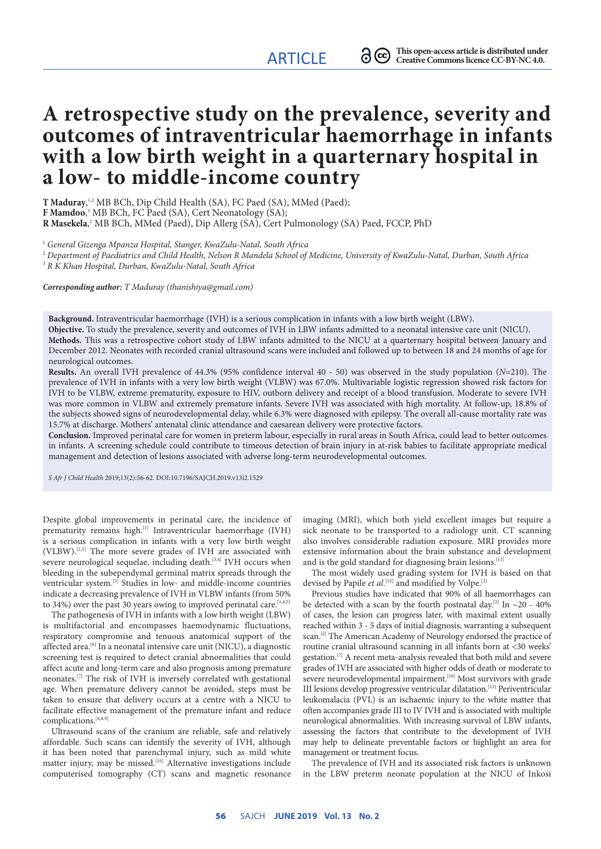# **A retrospective study on the prevalence, severity and outcomes of intraventricular haemorrhage in infants with a low birth weight in a quarternary hospital in a low- to middle-income country**

**T Maduray**, 1,2 MB BCh, Dip Child Health (SA), FC Paed (SA), MMed (Paed); **F Mamdoo**, 3 MB BCh, FC Paed (SA), Cert Neonatology (SA); **R Masekela**,<sup>2</sup> MB BCh, MMed (Paed), Dip Allerg (SA), Cert Pulmonology (SA) Paed, FCCP, PhD

<sup>1</sup> General Gizenga Mpanza Hospital, Stanger, KwaZulu-Natal, South Africa

<sup>2</sup> *Department of Paediatrics and Child Health, Nelson R Mandela School of Medicine, University of KwaZulu-Natal, Durban, South Africa* 3  *R K Khan Hospital, Durban, KwaZulu-Natal, South Africa*

*Corresponding author: T Maduray (thanishiya@gmail.com)*

**Background.** Intraventricular haemorrhage (IVH) is a serious complication in infants with a low birth weight (LBW).

**Objective.** To study the prevalence, severity and outcomes of IVH in LBW infants admitted to a neonatal intensive care unit (NICU). **Methods.** This was a retrospective cohort study of LBW infants admitted to the NICU at a quarternary hospital between January and December 2012. Neonates with recorded cranial ultrasound scans were included and followed up to between 18 and 24 months of age for neurological outcomes.

**Results.** An overall IVH prevalence of 44.3% (95% confidence interval 40 - 50) was observed in the study population (*N*=210). The prevalence of IVH in infants with a very low birth weight (VLBW) was 67.0%. Multivariable logistic regression showed risk factors for IVH to be VLBW, extreme prematurity, exposure to HIV, outborn delivery and receipt of a blood transfusion. Moderate to severe IVH was more common in VLBW and extremely premature infants. Severe IVH was associated with high mortality. At follow-up, 18.8% of the subjects showed signs of neurodevelopmental delay, while 6.3% were diagnosed with epilepsy. The overall all-cause mortality rate was 15.7% at discharge. Mothers' antenatal clinic attendance and caesarean delivery were protective factors.

**Conclusion.** Improved perinatal care for women in preterm labour, especially in rural areas in South Africa, could lead to better outcomes in infants. A screening schedule could contribute to timeous detection of brain injury in at-risk babies to facilitate appropriate medical management and detection of lesions associated with adverse long-term neurodevelopmental outcomes.

*S Afr J Child Health* 2019;13(2):56-62. DOI:10.7196/SAJCH.2019.v13i2.1529

Despite global improvements in perinatal care, the incidence of prematurity remains high.<sup>[1]</sup> Intraventricular haemorrhage (IVH) is a serious complication in infants with a very low birth weight (VLBW).[2,3] The more severe grades of IVH are associated with severe neurological sequelae, including death.<sup>[3,4]</sup> IVH occurs when bleeding in the subependymal germinal matrix spreads through the ventricular system.[3] Studies in low- and middle-income countries indicate a decreasing prevalence of IVH in VLBW infants (from 50% to 34%) over the past 30 years owing to improved perinatal care.<sup>[1,4,5]</sup>

The pathogenesis of IVH in infants with a low birth weight (LBW) is multifactorial and encompasses haemodynamic fluctuations, respiratory compromise and tenuous anatomical support of the affected area.[6] In a neonatal intensive care unit (NICU), a diagnostic screening test is required to detect cranial abnormalities that could affect acute and long-term care and also prognosis among premature neonates.[7] The risk of IVH is inversely correlated with gestational age. When premature delivery cannot be avoided, steps must be taken to ensure that delivery occurs at a centre with a NICU to facilitate effective management of the premature infant and reduce complications.<sup>[6,8,9]</sup>

Ultrasound scans of the cranium are reliable, safe and relatively affordable. Such scans can identify the severity of IVH, although it has been noted that parenchymal injury, such as mild white matter injury, may be missed.<sup>[10]</sup> Alternative investigations include computerised tomography (CT) scans and magnetic resonance imaging (MRI), which both yield excellent images but require a sick neonate to be transported to a radiology unit. CT scanning also involves considerable radiation exposure. MRI provides more extensive information about the brain substance and development and is the gold standard for diagnosing brain lesions.<sup>[11]</sup>

The most widely used grading system for IVH is based on that devised by Papile *et al.*<sup>[12]</sup> and modified by Volpe.<sup>[2]</sup>

Previous studies have indicated that 90% of all haemorrhages can be detected with a scan by the fourth postnatal day.<sup>[2]</sup> In  $\sim$ 20 - 40% of cases, the lesion can progress later, with maximal extent usually reached within 3 - 5 days of initial diagnosis, warranting a subsequent scan.<sup>[2]</sup> The American Academy of Neurology endorsed the practice of routine cranial ultrasound scanning in all infants born at <30 weeks' gestation.[7] A recent meta-analysis revealed that both mild and severe grades of IVH are associated with higher odds of death or moderate to severe neurodevelopmental impairment.<sup>[10]</sup> Most survivors with grade III lesions develop progressive ventricular dilatation.[13] Periventricular leukomalacia (PVL) is an ischaemic injury to the white matter that often accompanies grade III to IV IVH and is associated with multiple neurological abnormalities. With increasing survival of LBW infants, assessing the factors that contribute to the development of IVH may help to delineate preventable factors or highlight an area for management or treatment focus.

The prevalence of IVH and its associated risk factors is unknown in the LBW preterm neonate population at the NICU of Inkosi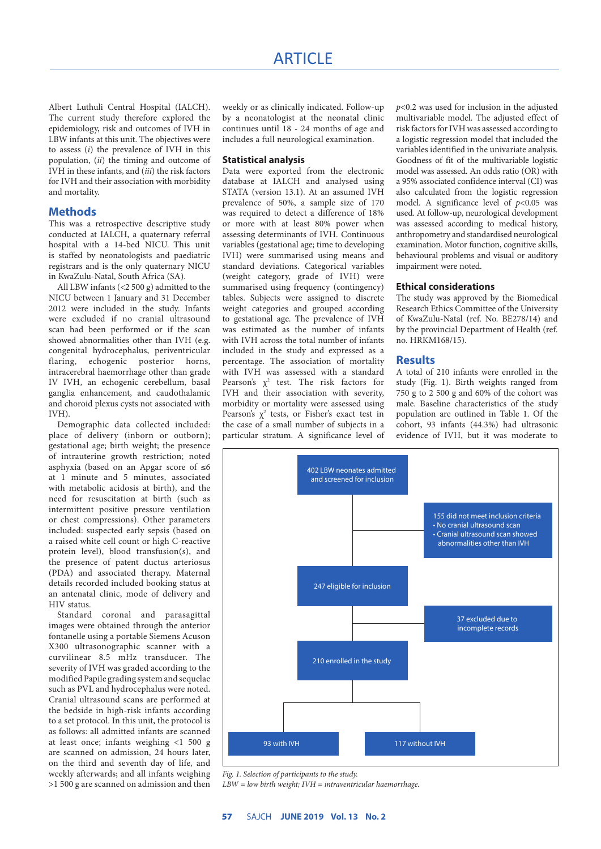Albert Luthuli Central Hospital (IALCH). The current study therefore explored the epidemiology, risk and outcomes of IVH in LBW infants at this unit. The objectives were to assess (*i*) the prevalence of IVH in this population, (*ii*) the timing and outcome of IVH in these infants, and (*iii*) the risk factors for IVH and their association with morbidity and mortality.

## **Methods**

This was a retrospective descriptive study conducted at IALCH, a quaternary referral hospital with a 14-bed NICU. This unit is staffed by neonatologists and paediatric registrars and is the only quaternary NICU in KwaZulu-Natal, South Africa (SA).

All LBW infants (<2 500 g) admitted to the NICU between 1 January and 31 December 2012 were included in the study. Infants were excluded if no cranial ultrasound scan had been performed or if the scan showed abnormalities other than IVH (e.g. congenital hydrocephalus, periventricular flaring, echogenic posterior horns, intracerebral haemorrhage other than grade IV IVH, an echogenic cerebellum, basal ganglia enhancement, and caudothalamic and choroid plexus cysts not associated with IVH).

Demographic data collected included: place of delivery (inborn or outborn); gestational age; birth weight; the presence of intrauterine growth restriction; noted asphyxia (based on an Apgar score of ≤6 at 1 minute and 5 minutes, associated with metabolic acidosis at birth), and the need for resuscitation at birth (such as intermittent positive pressure ventilation or chest compressions). Other parameters included: suspected early sepsis (based on a raised white cell count or high C-reactive protein level), blood transfusion(s), and the presence of patent ductus arteriosus (PDA) and associated therapy. Maternal details recorded included booking status at an antenatal clinic, mode of delivery and HIV status.

Standard coronal and parasagittal images were obtained through the anterior fontanelle using a portable Siemens Acuson X300 ultrasonographic scanner with a curvilinear 8.5 mHz transducer. The severity of IVH was graded according to the modified Papile grading system and sequelae such as PVL and hydrocephalus were noted. Cranial ultrasound scans are performed at the bedside in high-risk infants according to a set protocol. In this unit, the protocol is as follows: all admitted infants are scanned at least once; infants weighing <1 500 g are scanned on admission, 24 hours later, on the third and seventh day of life, and weekly afterwards; and all infants weighing >1 500 g are scanned on admission and then

weekly or as clinically indicated. Follow-up by a neonatologist at the neonatal clinic continues until 18 - 24 months of age and includes a full neurological examination.

#### **Statistical analysis**

Data were exported from the electronic database at IALCH and analysed using STATA (version 13.1). At an assumed IVH prevalence of 50%, a sample size of 170 was required to detect a difference of 18% or more with at least 80% power when assessing determinants of IVH. Continuous variables (gestational age; time to developing IVH) were summarised using means and standard deviations. Categorical variables (weight category, grade of IVH) were summarised using frequency (contingency) tables. Subjects were assigned to discrete weight categories and grouped according to gestational age. The prevalence of IVH was estimated as the number of infants with IVH across the total number of infants included in the study and expressed as a percentage. The association of mortality with IVH was assessed with a standard Pearson's  $\chi^2$  test. The risk factors for IVH and their association with severity, morbidity or mortality were assessed using Pearson's  $\chi^2$  tests, or Fisher's exact test in the case of a small number of subjects in a particular stratum. A significance level of *p*<0.2 was used for inclusion in the adjusted multivariable model. The adjusted effect of risk factors for IVH was assessed according to a logistic regression model that included the variables identified in the univariate analysis. Goodness of fit of the multivariable logistic model was assessed. An odds ratio (OR) with a 95% associated confidence interval (CI) was also calculated from the logistic regression model. A significance level of *p*<0.05 was used. At follow-up, neurological development was assessed according to medical history, anthropometry and standardised neurological examination. Motor function, cognitive skills, behavioural problems and visual or auditory impairment were noted.

# **Ethical considerations**

The study was approved by the Biomedical Research Ethics Committee of the University of KwaZulu-Natal (ref. No. BE278/14) and by the provincial Department of Health (ref. no. HRKM168/15).

# **Results**

A total of 210 infants were enrolled in the study (Fig. 1). Birth weights ranged from 750 g to 2 500 g and 60% of the cohort was male. Baseline characteristics of the study population are outlined in Table 1. Of the cohort, 93 infants (44.3%) had ultrasonic evidence of IVH, but it was moderate to



*Fig. 1. Selection of participants to the study.*

*LBW = low birth weight; IVH = intraventricular haemorrhage.*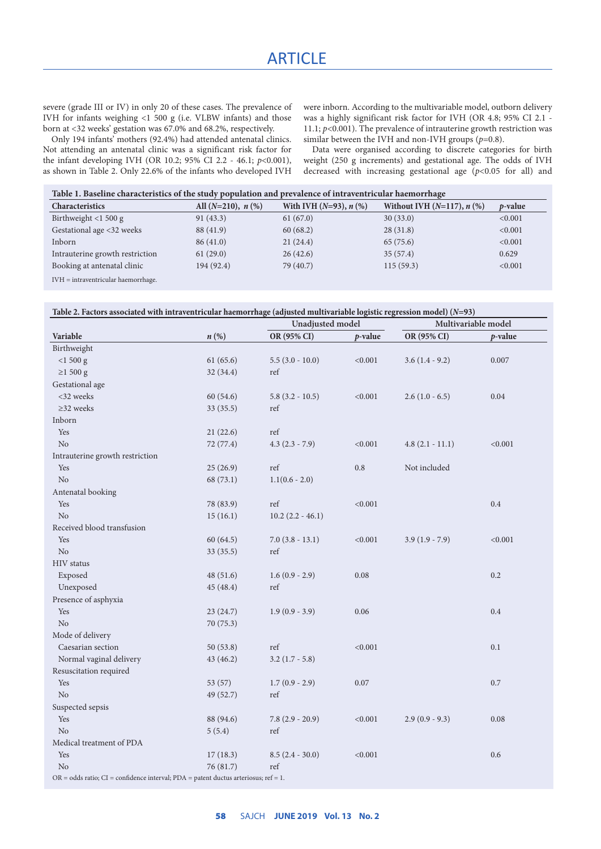severe (grade III or IV) in only 20 of these cases. The prevalence of IVH for infants weighing <1 500 g (i.e. VLBW infants) and those born at <32 weeks' gestation was 67.0% and 68.2%, respectively.

were inborn. According to the multivariable model, outborn delivery was a highly significant risk factor for IVH (OR 4.8; 95% CI 2.1 - 11.1;  $p$ <0.001). The prevalence of intrauterine growth restriction was similar between the IVH and non-IVH groups  $(p=0.8)$ .

Only 194 infants' mothers (92.4%) had attended antenatal clinics. Not attending an antenatal clinic was a significant risk factor for the infant developing IVH (OR 10.2; 95% CI 2.2 - 46.1; *p*<0.001), as shown in Table 2. Only 22.6% of the infants who developed IVH

Data were organised according to discrete categories for birth weight (250 g increments) and gestational age. The odds of IVH decreased with increasing gestational age  $(p<0.05$  for all) and

| Table 1. Baseline characteristics of the study population and prevalence of intraventricular haemorrhage |                            |                             |                                    |                 |
|----------------------------------------------------------------------------------------------------------|----------------------------|-----------------------------|------------------------------------|-----------------|
| <b>Characteristics</b>                                                                                   | All $(N=210)$ , $n$ $(\%)$ | With IVH $(N=93)$ , $n$ $%$ | Without IVH $(N=117)$ , $n$ $(\%)$ | <i>p</i> -value |
| Birthweight $<$ 1 500 g                                                                                  | 91(43.3)                   | 61(67.0)                    | 30(33.0)                           | < 0.001         |
| Gestational age <32 weeks                                                                                | 88 (41.9)                  | 60(68.2)                    | 28(31.8)                           | < 0.001         |
| Inborn                                                                                                   | 86(41.0)                   | 21(24.4)                    | 65(75.6)                           | < 0.001         |
| Intrauterine growth restriction                                                                          | 61(29.0)                   | 26(42.6)                    | 35(57.4)                           | 0.629           |
| Booking at antenatal clinic                                                                              | 194 (92.4)                 | 79 (40.7)                   | 115(59.3)                          | < 0.001         |
| $\mathbf{r}$                                                                                             |                            |                             |                                    |                 |

IVH = intraventricular haemorrhage.

| Table 2. Factors associated with intraventricular haemorrhage (adjusted multivariable logistic regression model) ( $N=93$ ) |  |  |
|-----------------------------------------------------------------------------------------------------------------------------|--|--|
|-----------------------------------------------------------------------------------------------------------------------------|--|--|

|                                                                                                |                    | Unadjusted model      |            | Multivariable model |         |
|------------------------------------------------------------------------------------------------|--------------------|-----------------------|------------|---------------------|---------|
| Variable                                                                                       | $n\left(\%\right)$ | OR (95% CI)           | $p$ -value | OR (95% CI)         | p-value |
| Birthweight                                                                                    |                    |                       |            |                     |         |
| $<$ 1 500 g                                                                                    | 61(65.6)           | $5.5(3.0 - 10.0)$     | < 0.001    | $3.6(1.4 - 9.2)$    | 0.007   |
| $\geq$ 1 500 g                                                                                 | 32(34.4)           | ref                   |            |                     |         |
| Gestational age                                                                                |                    |                       |            |                     |         |
| <32 weeks                                                                                      | 60(54.6)           | $5.8(3.2 - 10.5)$     | < 0.001    | $2.6(1.0 - 6.5)$    | 0.04    |
| $\geq$ 32 weeks                                                                                | 33(35.5)           | ref                   |            |                     |         |
| Inborn                                                                                         |                    |                       |            |                     |         |
| Yes                                                                                            | 21(22.6)           | ref                   |            |                     |         |
| N <sub>o</sub>                                                                                 | 72 (77.4)          | $4.3(2.3 - 7.9)$      | < 0.001    | $4.8(2.1 - 11.1)$   | < 0.001 |
| Intrauterine growth restriction                                                                |                    |                       |            |                     |         |
| Yes                                                                                            | 25(26.9)           | ref                   | $0.8\,$    | Not included        |         |
| N <sub>o</sub>                                                                                 | 68 (73.1)          | $1.1(0.6 - 2.0)$      |            |                     |         |
| Antenatal booking                                                                              |                    |                       |            |                     |         |
| Yes                                                                                            | 78 (83.9)          | ref                   | < 0.001    |                     | 0.4     |
| No                                                                                             | 15(16.1)           | $10.2$ $(2.2 - 46.1)$ |            |                     |         |
| Received blood transfusion                                                                     |                    |                       |            |                     |         |
| Yes                                                                                            | 60(64.5)           | $7.0(3.8 - 13.1)$     | < 0.001    | $3.9(1.9 - 7.9)$    | < 0.001 |
| No                                                                                             | 33(35.5)           | ref                   |            |                     |         |
| <b>HIV</b> status                                                                              |                    |                       |            |                     |         |
| Exposed                                                                                        | 48(51.6)           | $1.6(0.9 - 2.9)$      | 0.08       |                     | $0.2\,$ |
| Unexposed                                                                                      | 45 (48.4)          | ref                   |            |                     |         |
| Presence of asphyxia                                                                           |                    |                       |            |                     |         |
| Yes                                                                                            | 23(24.7)           | $1.9(0.9 - 3.9)$      | 0.06       |                     | 0.4     |
| $\rm No$                                                                                       | 70 (75.3)          |                       |            |                     |         |
| Mode of delivery                                                                               |                    |                       |            |                     |         |
| Caesarian section                                                                              | 50(53.8)           | ref                   | < 0.001    |                     | 0.1     |
| Normal vaginal delivery                                                                        | 43(46.2)           | $3.2(1.7 - 5.8)$      |            |                     |         |
| Resuscitation required                                                                         |                    |                       |            |                     |         |
| Yes                                                                                            | 53(57)             | $1.7(0.9 - 2.9)$      | 0.07       |                     | 0.7     |
| N <sub>o</sub>                                                                                 | 49 (52.7)          | ref                   |            |                     |         |
| Suspected sepsis                                                                               |                    |                       |            |                     |         |
| Yes                                                                                            | 88 (94.6)          | $7.8(2.9 - 20.9)$     | < 0.001    | $2.9(0.9 - 9.3)$    | 0.08    |
| N <sub>o</sub>                                                                                 | 5(5.4)             | ref                   |            |                     |         |
| Medical treatment of PDA                                                                       |                    |                       |            |                     |         |
| Yes                                                                                            | 17(18.3)           | $8.5(2.4 - 30.0)$     | < 0.001    |                     | $0.6\,$ |
| No                                                                                             | 76 (81.7)          | ref                   |            |                     |         |
| $OR = odds ratio$ ; $CI = confidence interval$ ; $PDA = patent$ ductus arteriosus; $ref = 1$ . |                    |                       |            |                     |         |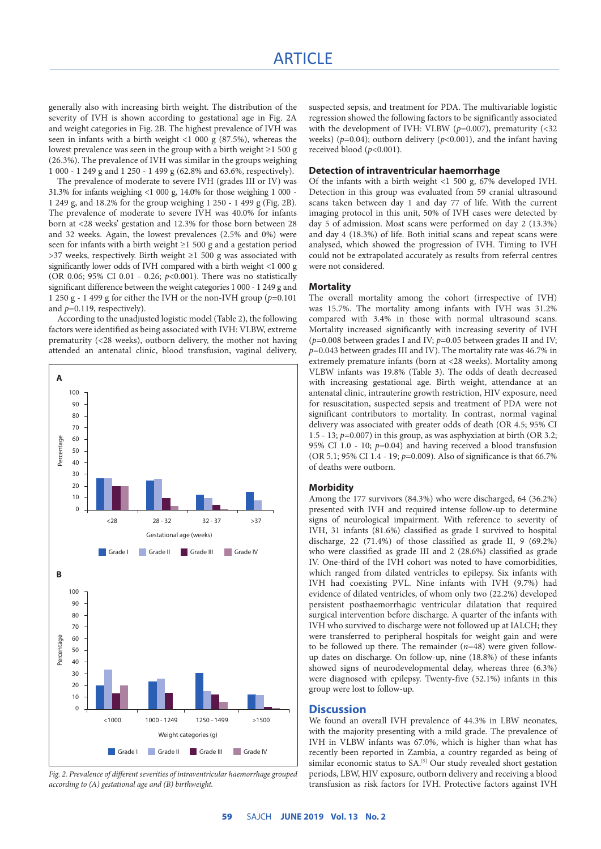generally also with increasing birth weight. The distribution of the severity of IVH is shown according to gestational age in Fig. 2A and weight categories in Fig. 2B. The highest prevalence of IVH was seen in infants with a birth weight  $\langle 1, 000 \rangle$  (87.5%), whereas the lowest prevalence was seen in the group with a birth weight ≥1 500 g (26.3%). The prevalence of IVH was similar in the groups weighing 1 000 - 1 249 g and 1 250 - 1 499 g (62.8% and 63.6%, respectively).

The prevalence of moderate to severe IVH (grades III or IV) was 31.3% for infants weighing <1 000 g, 14.0% for those weighing 1 000 - 1 249 g, and 18.2% for the group weighing 1 250 - 1 499 g (Fig. 2B). The prevalence of moderate to severe IVH was 40.0% for infants born at <28 weeks' gestation and 12.3% for those born between 28 and 32 weeks. Again, the lowest prevalences (2.5% and 0%) were seen for infants with a birth weight ≥1 500 g and a gestation period >37 weeks, respectively. Birth weight ≥1 500 g was associated with significantly lower odds of IVH compared with a birth weight <1 000 g (OR 0.06; 95% CI 0.01 - 0.26; *p*<0.001). There was no statistically significant difference between the weight categories 1 000 - 1 249 g and 1 250 g - 1 499 g for either the IVH or the non-IVH group (*p*=0.101 and *p*=0.119, respectively).

According to the unadjusted logistic model (Table 2), the following factors were identified as being associated with IVH: VLBW, extreme prematurity (<28 weeks), outborn delivery, the mother not having attended an antenatal clinic, blood transfusion, vaginal delivery,



*Fig. 2. Prevalence of different severities of intraventricular haemorrhage grouped according to (A) gestational age and (B) birthweight.*

suspected sepsis, and treatment for PDA. The multivariable logistic regression showed the following factors to be significantly associated with the development of IVH: VLBW ( $p=0.007$ ), prematurity (<32) weeks) ( $p=0.04$ ); outborn delivery ( $p<0.001$ ), and the infant having received blood (*p*<0.001).

#### **Detection of intraventricular haemorrhage**

Of the infants with a birth weight <1 500 g, 67% developed IVH. Detection in this group was evaluated from 59 cranial ultrasound scans taken between day 1 and day 77 of life. With the current imaging protocol in this unit, 50% of IVH cases were detected by day 5 of admission. Most scans were performed on day 2 (13.3%) and day 4 (18.3%) of life. Both initial scans and repeat scans were analysed, which showed the progression of IVH. Timing to IVH could not be extrapolated accurately as results from referral centres were not considered.

#### **Mortality**

The overall mortality among the cohort (irrespective of IVH) was 15.7%. The mortality among infants with IVH was 31.2% compared with 3.4% in those with normal ultrasound scans. Mortality increased significantly with increasing severity of IVH (*p*=0.008 between grades I and IV; *p*=0.05 between grades II and IV; *p*=0.043 between grades III and IV). The mortality rate was 46.7% in extremely premature infants (born at <28 weeks). Mortality among VLBW infants was 19.8% (Table 3). The odds of death decreased with increasing gestational age. Birth weight, attendance at an antenatal clinic, intrauterine growth restriction, HIV exposure, need for resuscitation, suspected sepsis and treatment of PDA were not significant contributors to mortality. In contrast, normal vaginal delivery was associated with greater odds of death (OR 4.5; 95% CI 1.5 - 13; *p*=0.007) in this group, as was asphyxiation at birth (OR 3.2; 95% CI 1.0 - 10; *p*=0.04) and having received a blood transfusion (OR 5.1; 95% CI 1.4 - 19; *p*=0.009). Also of significance is that 66.7% of deaths were outborn.

#### **Morbidity**

Among the 177 survivors (84.3%) who were discharged, 64 (36.2%) presented with IVH and required intense follow-up to determine signs of neurological impairment. With reference to severity of IVH, 31 infants (81.6%) classified as grade I survived to hospital discharge, 22 (71.4%) of those classified as grade II, 9 (69.2%) who were classified as grade III and 2 (28.6%) classified as grade IV. One-third of the IVH cohort was noted to have comorbidities, which ranged from dilated ventricles to epilepsy. Six infants with IVH had coexisting PVL. Nine infants with IVH (9.7%) had evidence of dilated ventricles, of whom only two (22.2%) developed persistent posthaemorrhagic ventricular dilatation that required surgical intervention before discharge. A quarter of the infants with IVH who survived to discharge were not followed up at IALCH; they were transferred to peripheral hospitals for weight gain and were to be followed up there. The remainder (*n*=48) were given followup dates on discharge. On follow-up, nine (18.8%) of these infants showed signs of neurodevelopmental delay, whereas three (6.3%) were diagnosed with epilepsy. Twenty-five (52.1%) infants in this group were lost to follow-up.

## **Discussion**

We found an overall IVH prevalence of 44.3% in LBW neonates, with the majority presenting with a mild grade. The prevalence of IVH in VLBW infants was 67.0%, which is higher than what has recently been reported in Zambia, a country regarded as being of similar economic status to SA.<sup>[5]</sup> Our study revealed short gestation periods, LBW, HIV exposure, outborn delivery and receiving a blood transfusion as risk factors for IVH. Protective factors against IVH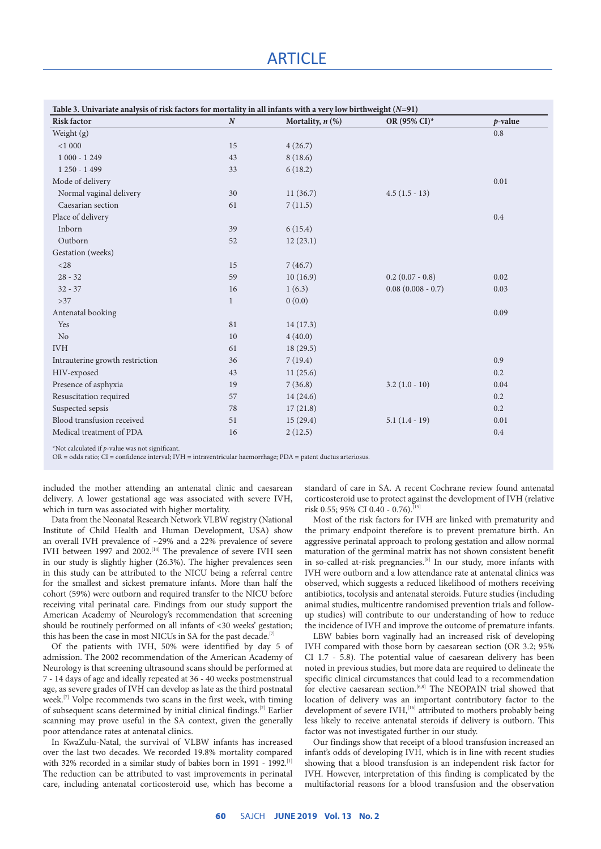# **ARTICLE**

| Table 3. Univariate analysis of risk factors for mortality in all infants with a very low birthweight $(N=91)$ |                  |                       |                     |            |
|----------------------------------------------------------------------------------------------------------------|------------------|-----------------------|---------------------|------------|
| <b>Risk factor</b>                                                                                             | $\boldsymbol{N}$ | Mortality, $n$ $(\%)$ | OR (95% CI)*        | $p$ -value |
| Weight (g)                                                                                                     |                  |                       |                     | 0.8        |
| < 1000                                                                                                         | 15               | 4(26.7)               |                     |            |
| $1000 - 1249$                                                                                                  | 43               | 8(18.6)               |                     |            |
| $1250 - 1499$                                                                                                  | 33               | 6(18.2)               |                     |            |
| Mode of delivery                                                                                               |                  |                       |                     | 0.01       |
| Normal vaginal delivery                                                                                        | 30               | 11(36.7)              | $4.5(1.5-13)$       |            |
| Caesarian section                                                                                              | 61               | 7(11.5)               |                     |            |
| Place of delivery                                                                                              |                  |                       |                     | 0.4        |
| Inborn                                                                                                         | 39               | 6(15.4)               |                     |            |
| Outborn                                                                                                        | 52               | 12(23.1)              |                     |            |
| Gestation (weeks)                                                                                              |                  |                       |                     |            |
| $<$ 28                                                                                                         | 15               | 7(46.7)               |                     |            |
| $28 - 32$                                                                                                      | 59               | 10(16.9)              | $0.2$ (0.07 - 0.8)  | 0.02       |
| $32 - 37$                                                                                                      | 16               | 1(6.3)                | $0.08(0.008 - 0.7)$ | 0.03       |
| $>37$                                                                                                          | $\mathbf{1}$     | 0(0.0)                |                     |            |
| Antenatal booking                                                                                              |                  |                       |                     | 0.09       |
| Yes                                                                                                            | 81               | 14(17.3)              |                     |            |
| N <sub>o</sub>                                                                                                 | 10               | 4(40.0)               |                     |            |
| <b>IVH</b>                                                                                                     | 61               | 18(29.5)              |                     |            |
| Intrauterine growth restriction                                                                                | 36               | 7(19.4)               |                     | 0.9        |
| HIV-exposed                                                                                                    | 43               | 11(25.6)              |                     | 0.2        |
| Presence of asphyxia                                                                                           | 19               | 7(36.8)               | $3.2(1.0-10)$       | 0.04       |
| Resuscitation required                                                                                         | 57               | 14(24.6)              |                     | 0.2        |
| Suspected sepsis                                                                                               | 78               | 17(21.8)              |                     | 0.2        |
| Blood transfusion received                                                                                     | 51               | 15(29.4)              | $5.1(1.4-19)$       | 0.01       |
| Medical treatment of PDA                                                                                       | 16               | 2(12.5)               |                     | 0.4        |

\*Not calculated if *p*-value was not significant.

OR = odds ratio; CI = confidence interval; IVH = intraventricular haemorrhage; PDA = patent ductus arteriosus.

included the mother attending an antenatal clinic and caesarean delivery. A lower gestational age was associated with severe IVH, which in turn was associated with higher mortality.

Data from the Neonatal Research Network VLBW registry (National Institute of Child Health and Human Development, USA) show an overall IVH prevalence of ~29% and a 22% prevalence of severe IVH between 1997 and 2002.<sup>[14]</sup> The prevalence of severe IVH seen in our study is slightly higher (26.3%). The higher prevalences seen in this study can be attributed to the NICU being a referral centre for the smallest and sickest premature infants. More than half the cohort (59%) were outborn and required transfer to the NICU before receiving vital perinatal care. Findings from our study support the American Academy of Neurology's recommendation that screening should be routinely performed on all infants of <30 weeks' gestation; this has been the case in most NICUs in SA for the past decade.<sup>[7]</sup>

Of the patients with IVH, 50% were identified by day 5 of admission. The 2002 recommendation of the American Academy of Neurology is that screening ultrasound scans should be performed at 7 - 14 days of age and ideally repeated at 36 - 40 weeks postmenstrual age, as severe grades of IVH can develop as late as the third postnatal week.<sup>[7]</sup> Volpe recommends two scans in the first week, with timing of subsequent scans determined by initial clinical findings.[2] Earlier scanning may prove useful in the SA context, given the generally poor attendance rates at antenatal clinics.

In KwaZulu-Natal, the survival of VLBW infants has increased over the last two decades. We recorded 19.8% mortality compared with 32% recorded in a similar study of babies born in 1991 - 1992.<sup>[1]</sup> The reduction can be attributed to vast improvements in perinatal care, including antenatal corticosteroid use, which has become a

standard of care in SA. A recent Cochrane review found antenatal corticosteroid use to protect against the development of IVH (relative risk 0.55; 95% CI 0.40 - 0.76).<sup>[15]</sup>

Most of the risk factors for IVH are linked with prematurity and the primary endpoint therefore is to prevent premature birth. An aggressive perinatal approach to prolong gestation and allow normal maturation of the germinal matrix has not shown consistent benefit in so-called at-risk pregnancies.<sup>[8]</sup> In our study, more infants with IVH were outborn and a low attendance rate at antenatal clinics was observed, which suggests a reduced likelihood of mothers receiving antibiotics, tocolysis and antenatal steroids. Future studies (including animal studies, multicentre randomised prevention trials and followup studies) will contribute to our understanding of how to reduce the incidence of IVH and improve the outcome of premature infants.

LBW babies born vaginally had an increased risk of developing IVH compared with those born by caesarean section (OR 3.2; 95% CI 1.7 - 5.8). The potential value of caesarean delivery has been noted in previous studies, but more data are required to delineate the specific clinical circumstances that could lead to a recommendation for elective caesarean section.<sup>[6,8]</sup> The NEOPAIN trial showed that location of delivery was an important contributory factor to the development of severe IVH,<sup>[16]</sup> attributed to mothers probably being less likely to receive antenatal steroids if delivery is outborn. This factor was not investigated further in our study.

Our findings show that receipt of a blood transfusion increased an infant's odds of developing IVH, which is in line with recent studies showing that a blood transfusion is an independent risk factor for IVH. However, interpretation of this finding is complicated by the multifactorial reasons for a blood transfusion and the observation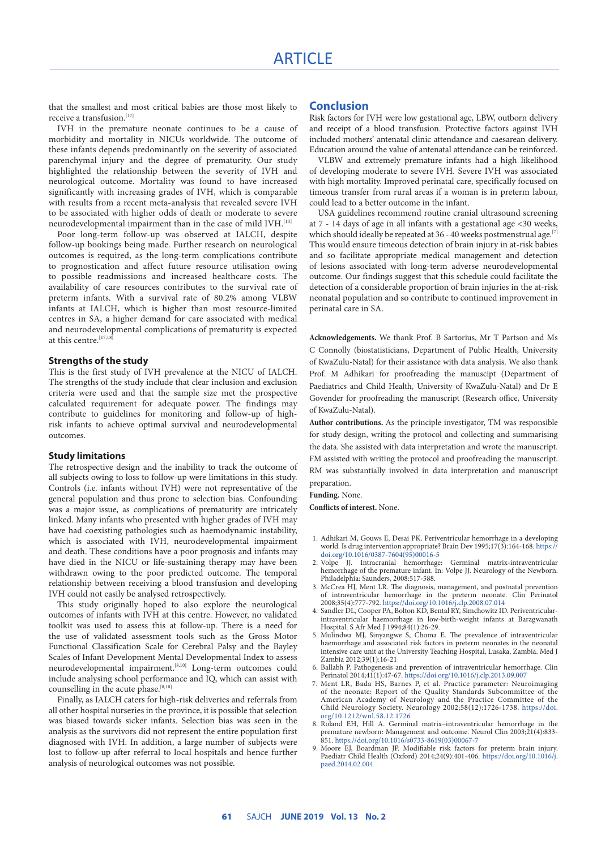that the smallest and most critical babies are those most likely to receive a transfusion.  $\rm ^{\left[17\right]}$ 

IVH in the premature neonate continues to be a cause of morbidity and mortality in NICUs worldwide. The outcome of these infants depends predominantly on the severity of associated parenchymal injury and the degree of prematurity. Our study highlighted the relationship between the severity of IVH and neurological outcome. Mortality was found to have increased significantly with increasing grades of IVH, which is comparable with results from a recent meta-analysis that revealed severe IVH to be associated with higher odds of death or moderate to severe neurodevelopmental impairment than in the case of mild IVH.<sup>[10]</sup>

Poor long-term follow-up was observed at IALCH, despite follow-up bookings being made. Further research on neurological outcomes is required, as the long-term complications contribute to prognostication and affect future resource utilisation owing to possible readmissions and increased healthcare costs. The availability of care resources contributes to the survival rate of preterm infants. With a survival rate of 80.2% among VLBW infants at IALCH, which is higher than most resource-limited centres in SA, a higher demand for care associated with medical and neurodevelopmental complications of prematurity is expected at this centre.<sup>[17,18</sup>]

#### **Strengths of the study**

This is the first study of IVH prevalence at the NICU of IALCH. The strengths of the study include that clear inclusion and exclusion criteria were used and that the sample size met the prospective calculated requirement for adequate power. The findings may contribute to guidelines for monitoring and follow-up of highrisk infants to achieve optimal survival and neurodevelopmental outcomes.

#### **Study limitations**

The retrospective design and the inability to track the outcome of all subjects owing to loss to follow-up were limitations in this study. Controls (i.e. infants without IVH) were not representative of the general population and thus prone to selection bias. Confounding was a major issue, as complications of prematurity are intricately linked. Many infants who presented with higher grades of IVH may have had coexisting pathologies such as haemodynamic instability, which is associated with IVH, neurodevelopmental impairment and death. These conditions have a poor prognosis and infants may have died in the NICU or life-sustaining therapy may have been withdrawn owing to the poor predicted outcome. The temporal relationship between receiving a blood transfusion and developing IVH could not easily be analysed retrospectively.

This study originally hoped to also explore the neurological outcomes of infants with IVH at this centre. However, no validated toolkit was used to assess this at follow-up. There is a need for the use of validated assessment tools such as the Gross Motor Functional Classification Scale for Cerebral Palsy and the Bayley Scales of Infant Development Mental Developmental Index to assess neurodevelopmental impairment.<sup>[8,10]</sup> Long-term outcomes could include analysing school performance and IQ, which can assist with counselling in the acute phase.<sup>[8,10]</sup>

Finally, as IALCH caters for high-risk deliveries and referrals from all other hospital nurseries in the province, it is possible that selection was biased towards sicker infants. Selection bias was seen in the analysis as the survivors did not represent the entire population first diagnosed with IVH. In addition, a large number of subjects were lost to follow-up after referral to local hospitals and hence further analysis of neurological outcomes was not possible.

# **Conclusion**

Risk factors for IVH were low gestational age, LBW, outborn delivery and receipt of a blood transfusion. Protective factors against IVH included mothers' antenatal clinic attendance and caesarean delivery. Education around the value of antenatal attendance can be reinforced.

VLBW and extremely premature infants had a high likelihood of developing moderate to severe IVH. Severe IVH was associated with high mortality. Improved perinatal care, specifically focused on timeous transfer from rural areas if a woman is in preterm labour, could lead to a better outcome in the infant.

USA guidelines recommend routine cranial ultrasound screening at 7 - 14 days of age in all infants with a gestational age <30 weeks, which should ideally be repeated at 36 - 40 weeks postmenstrual age.<sup>[7]</sup> This would ensure timeous detection of brain injury in at-risk babies and so facilitate appropriate medical management and detection of lesions associated with long-term adverse neurodevelopmental outcome. Our findings suggest that this schedule could facilitate the detection of a considerable proportion of brain injuries in the at-risk neonatal population and so contribute to continued improvement in perinatal care in SA.

**Acknowledgements.** We thank Prof. B Sartorius, Mr T Partson and Ms C Connolly (biostatisticians, Department of Public Health, University of KwaZulu-Natal) for their assistance with data analysis. We also thank Prof. M Adhikari for proofreading the manuscipt (Department of Paediatrics and Child Health, University of KwaZulu-Natal) and Dr E Govender for proofreading the manuscript (Research office, University of KwaZulu-Natal).

**Author contributions.** As the principle investigator, TM was responsible for study design, writing the protocol and collecting and summarising the data. She assisted with data interpretation and wrote the manuscript. FM assisted with writing the protocol and proofreading the manuscript. RM was substantially involved in data interpretation and manuscript preparation.

**Funding.** None.

**Conflicts of interest.** None.

- 1. Adhikari M, Gouws E, Desai PK. Periventricular hemorrhage in a developing world. Is drug intervention appropriate? Brain Dev 1995;17(3):164-168. [https://](https://doi.org/10.1016/0387-7604(95)00016-5 ) [doi.org/10.1016/0387-7604\(95\)00016-5](https://doi.org/10.1016/0387-7604(95)00016-5 )<br>2. Volpe JJ. Intracranial hemorrhage
- JJ. Intracranial hemorrhage: Germinal matrix-intraventricular hemorrhage of the premature infant. In: Volpe JJ. Neurology of the Newborn. Philadelphia: Saunders, 2008:517-588.
- 3. McCrea HJ, Ment LR. The diagnosis, management, and postnatal prevention of intraventricular hemorrhage in the preterm neonate. Clin Perinatol 2008;35(4):777-792. https://doi.org/10.1016/j.clp.2008.07.014
- 4. Sandler DL, Cooper PA, Bolton KD, Bental RY, Simchowitz ID. Periventricularintraventricular haemorrhage in low-birth-weight infants at Baragwanath Hospital. S Afr Med J 1994;84(1):26-29.
- 5. Mulindwa MJ, Sinyangwe S, Choma E. The prevalence of intraventricular haemorrhage and associated risk factors in preterm neonates in the neonatal intensive care unit at the University Teaching Hospital, Lusaka, Zambia. Med J Zambia 2012;39(1):16-21
- 6. Ballabh P. Pathogenesis and prevention of intraventricular hemorrhage. Clin Perinatol 2014;41(1):47-67. https://doi.org/10.1016/j.clp.2013.09.007
- 7. Ment LR, Bada HS, Barnes P, et al. Practice parameter: Neuroimaging of the neonate: Report of the Quality Standards Subcommittee of the American Academy of Neurology and the Practice Committee of the Child Neurology Society. Neurology 2002;58(12):1726-1738. [https://doi.](https://doi.org/10.1212/wnl.58.12.1726. ) [org/10.1212/wnl.58.12.1726](https://doi.org/10.1212/wnl.58.12.1726. )
- 8. Roland EH, Hill A. Germinal matrix–intraventricular hemorrhage in the premature newborn: Management and outcome. Neurol Clin 2003;21(4):833- 851. [https://doi.org/10.1016/s0733-8619\(03\)00067-7](https://doi.org/10.1016/s0733-8619(03)00067-7)
- 9. Moore EJ, Boardman JP. Modifiable risk factors for preterm brain injury. Paediatr Child Health (Oxford) 2014;24(9):401-406. [https://doi.org/10.1016/j.](https://doi.org/10.1016/j.paed.2014.02.004 ) [paed.2014.02.004](https://doi.org/10.1016/j.paed.2014.02.004 )